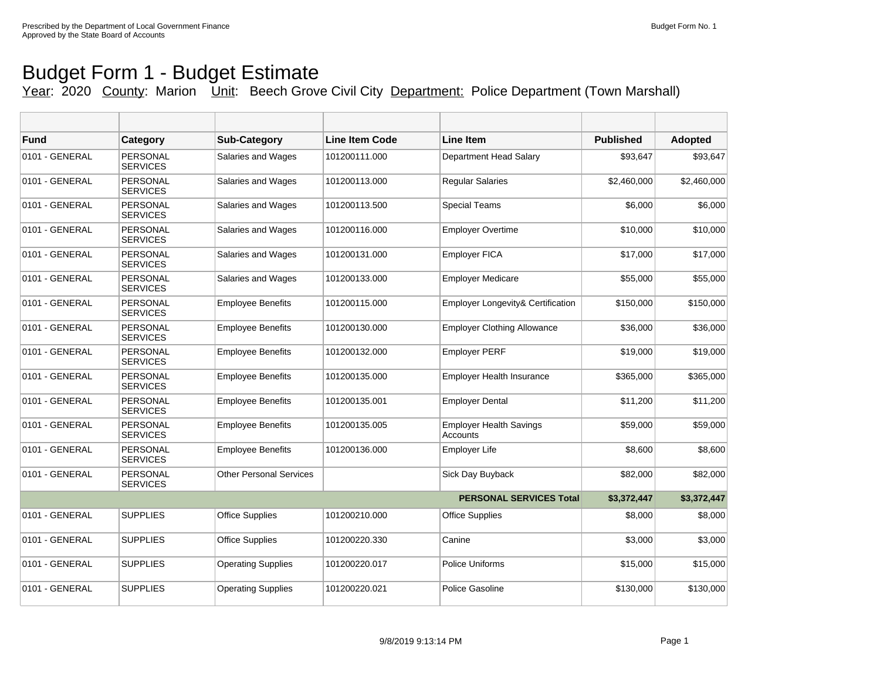## Budget Form 1 - Budget Estimate

## Year: 2020 County: Marion Unit: Beech Grove Civil City Department: Police Department (Town Marshall)

| <b>Fund</b>    | Category                           | <b>Sub-Category</b>            | <b>Line Item Code</b> | <b>Line Item</b>                           | <b>Published</b> | <b>Adopted</b> |
|----------------|------------------------------------|--------------------------------|-----------------------|--------------------------------------------|------------------|----------------|
| 0101 - GENERAL | <b>PERSONAL</b><br><b>SERVICES</b> | Salaries and Wages             | 101200111.000         | Department Head Salary                     | \$93,647         | \$93,647       |
| 0101 - GENERAL | <b>PERSONAL</b><br><b>SERVICES</b> | Salaries and Wages             | 101200113.000         | <b>Reqular Salaries</b>                    | \$2,460,000      | \$2,460,000    |
| 0101 - GENERAL | PERSONAL<br><b>SERVICES</b>        | Salaries and Wages             | 101200113.500         | <b>Special Teams</b>                       | \$6,000          | \$6,000        |
| 0101 - GENERAL | PERSONAL<br><b>SERVICES</b>        | Salaries and Wages             | 101200116.000         | <b>Employer Overtime</b>                   | \$10,000         | \$10,000       |
| 0101 - GENERAL | PERSONAL<br><b>SERVICES</b>        | Salaries and Wages             | 101200131.000         | <b>Employer FICA</b>                       | \$17,000         | \$17,000       |
| 0101 - GENERAL | PERSONAL<br><b>SERVICES</b>        | Salaries and Wages             | 101200133.000         | <b>Employer Medicare</b>                   | \$55,000         | \$55,000       |
| 0101 - GENERAL | <b>PERSONAL</b><br><b>SERVICES</b> | <b>Employee Benefits</b>       | 101200115.000         | Employer Longevity& Certification          | \$150,000        | \$150,000      |
| 0101 - GENERAL | <b>PERSONAL</b><br><b>SERVICES</b> | <b>Employee Benefits</b>       | 101200130.000         | <b>Employer Clothing Allowance</b>         | \$36,000         | \$36,000       |
| 0101 - GENERAL | <b>PERSONAL</b><br><b>SERVICES</b> | <b>Employee Benefits</b>       | 101200132.000         | <b>Employer PERF</b>                       | \$19,000         | \$19,000       |
| 0101 - GENERAL | <b>PERSONAL</b><br><b>SERVICES</b> | <b>Employee Benefits</b>       | 101200135.000         | <b>Employer Health Insurance</b>           | \$365,000        | \$365,000      |
| 0101 - GENERAL | PERSONAL<br><b>SERVICES</b>        | <b>Employee Benefits</b>       | 101200135.001         | <b>Employer Dental</b>                     | \$11,200         | \$11,200       |
| 0101 - GENERAL | <b>PERSONAL</b><br><b>SERVICES</b> | <b>Employee Benefits</b>       | 101200135.005         | <b>Employer Health Savings</b><br>Accounts | \$59,000         | \$59,000       |
| 0101 - GENERAL | <b>PERSONAL</b><br><b>SERVICES</b> | <b>Employee Benefits</b>       | 101200136.000         | <b>Employer Life</b>                       | \$8,600          | \$8,600        |
| 0101 - GENERAL | PERSONAL<br><b>SERVICES</b>        | <b>Other Personal Services</b> |                       | Sick Day Buyback                           | \$82,000         | \$82,000       |
|                |                                    |                                |                       | <b>PERSONAL SERVICES Total</b>             | \$3,372,447      | \$3,372,447    |
| 0101 - GENERAL | <b>SUPPLIES</b>                    | <b>Office Supplies</b>         | 101200210.000         | <b>Office Supplies</b>                     | \$8,000          | \$8,000        |
| 0101 - GENERAL | <b>SUPPLIES</b>                    | Office Supplies                | 101200220.330         | Canine                                     | \$3,000          | \$3,000        |
| 0101 - GENERAL | <b>SUPPLIES</b>                    | <b>Operating Supplies</b>      | 101200220.017         | <b>Police Uniforms</b>                     | \$15,000         | \$15,000       |
| 0101 - GENERAL | <b>SUPPLIES</b>                    | <b>Operating Supplies</b>      | 101200220.021         | Police Gasoline                            | \$130,000        | \$130,000      |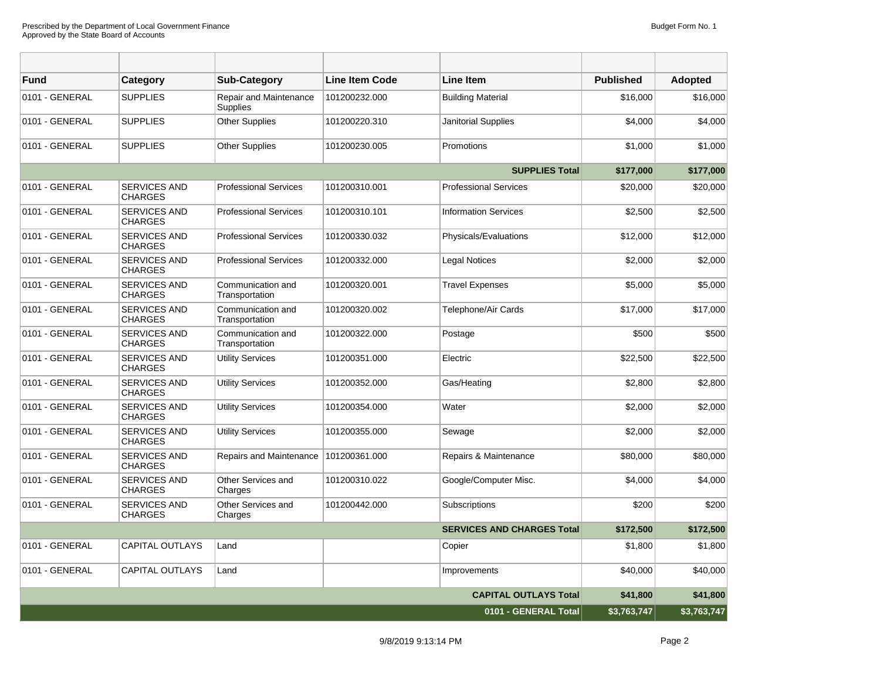| <b>Fund</b>          | Category                              | <b>Sub-Category</b>                       | <b>Line Item Code</b> | <b>Line Item</b>                  | <b>Published</b> | <b>Adopted</b> |
|----------------------|---------------------------------------|-------------------------------------------|-----------------------|-----------------------------------|------------------|----------------|
| 0101 - GENERAL       | <b>SUPPLIES</b>                       | <b>Repair and Maintenance</b><br>Supplies | 101200232.000         | <b>Building Material</b>          | \$16,000         | \$16,000       |
| 0101 - GENERAL       | <b>SUPPLIES</b>                       | <b>Other Supplies</b>                     | 101200220.310         | Janitorial Supplies               | \$4,000          | \$4,000        |
| 0101 - GENERAL       | <b>SUPPLIES</b>                       | Other Supplies                            | 101200230.005         | Promotions                        | \$1,000          | \$1,000        |
|                      |                                       |                                           |                       | <b>SUPPLIES Total</b>             | \$177,000        | \$177,000      |
| 0101 - GENERAL       | <b>SERVICES AND</b><br><b>CHARGES</b> | <b>Professional Services</b>              | 101200310.001         | <b>Professional Services</b>      | \$20,000         | \$20,000       |
| 0101 - GENERAL       | <b>SERVICES AND</b><br><b>CHARGES</b> | <b>Professional Services</b>              | 101200310.101         | <b>Information Services</b>       | \$2,500          | \$2,500        |
| 0101 - GENERAL       | <b>SERVICES AND</b><br><b>CHARGES</b> | <b>Professional Services</b>              | 101200330.032         | Physicals/Evaluations             | \$12,000         | \$12,000       |
| 0101 - GENERAL       | <b>SERVICES AND</b><br><b>CHARGES</b> | <b>Professional Services</b>              | 101200332.000         | Legal Notices                     | \$2,000          | \$2,000        |
| 0101 - GENERAL       | <b>SERVICES AND</b><br><b>CHARGES</b> | Communication and<br>Transportation       | 101200320.001         | <b>Travel Expenses</b>            | \$5,000          | \$5,000        |
| 0101 - GENERAL       | <b>SERVICES AND</b><br><b>CHARGES</b> | Communication and<br>Transportation       | 101200320.002         | Telephone/Air Cards               | \$17,000         | \$17,000       |
| 0101 - GENERAL       | <b>SERVICES AND</b><br><b>CHARGES</b> | Communication and<br>Transportation       | 101200322.000         | Postage                           | \$500            | \$500          |
| 0101 - GENERAL       | <b>SERVICES AND</b><br><b>CHARGES</b> | <b>Utility Services</b>                   | 101200351.000         | Electric                          | \$22,500         | \$22,500       |
| 0101 - GENERAL       | <b>SERVICES AND</b><br><b>CHARGES</b> | <b>Utility Services</b>                   | 101200352.000         | Gas/Heating                       | \$2,800          | \$2,800        |
| 0101 - GENERAL       | <b>SERVICES AND</b><br><b>CHARGES</b> | <b>Utility Services</b>                   | 101200354.000         | Water                             | \$2,000          | \$2,000        |
| 0101 - GENERAL       | <b>SERVICES AND</b><br><b>CHARGES</b> | <b>Utility Services</b>                   | 101200355.000         | Sewage                            | \$2,000          | \$2,000        |
| 0101 - GENERAL       | <b>SERVICES AND</b><br><b>CHARGES</b> | Repairs and Maintenance                   | 101200361.000         | Repairs & Maintenance             | \$80,000         | \$80,000       |
| 0101 - GENERAL       | <b>SERVICES AND</b><br><b>CHARGES</b> | Other Services and<br>Charges             | 101200310.022         | Google/Computer Misc.             | \$4,000          | \$4,000        |
| 0101 - GENERAL       | <b>SERVICES AND</b><br><b>CHARGES</b> | Other Services and<br>Charges             | 101200442.000         | Subscriptions                     | \$200            | \$200          |
|                      |                                       |                                           |                       | <b>SERVICES AND CHARGES Total</b> | \$172,500        | \$172,500      |
| 0101 - GENERAL       | <b>CAPITAL OUTLAYS</b>                | Land                                      |                       | Copier                            | \$1,800          | \$1,800        |
| 0101 - GENERAL       | <b>CAPITAL OUTLAYS</b>                | Land                                      |                       | Improvements                      | \$40,000         | \$40,000       |
|                      |                                       |                                           |                       | <b>CAPITAL OUTLAYS Total</b>      | \$41,800         | \$41,800       |
| 0101 - GENERAL Total |                                       |                                           |                       |                                   | \$3,763,747      | \$3,763,747    |